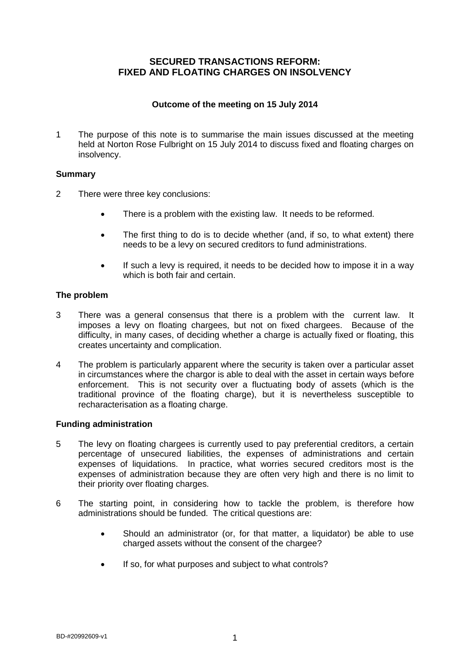# **SECURED TRANSACTIONS REFORM: FIXED AND FLOATING CHARGES ON INSOLVENCY**

#### **Outcome of the meeting on 15 July 2014**

1 The purpose of this note is to summarise the main issues discussed at the meeting held at Norton Rose Fulbright on 15 July 2014 to discuss fixed and floating charges on insolvency.

## **Summary**

- 2 There were three key conclusions:
	- There is a problem with the existing law. It needs to be reformed.
	- The first thing to do is to decide whether (and, if so, to what extent) there needs to be a levy on secured creditors to fund administrations.
	- If such a levy is required, it needs to be decided how to impose it in a way which is both fair and certain.

## **The problem**

- 3 There was a general consensus that there is a problem with the current law. It imposes a levy on floating chargees, but not on fixed chargees. Because of the difficulty, in many cases, of deciding whether a charge is actually fixed or floating, this creates uncertainty and complication.
- 4 The problem is particularly apparent where the security is taken over a particular asset in circumstances where the chargor is able to deal with the asset in certain ways before enforcement. This is not security over a fluctuating body of assets (which is the traditional province of the floating charge), but it is nevertheless susceptible to recharacterisation as a floating charge.

#### **Funding administration**

- 5 The levy on floating chargees is currently used to pay preferential creditors, a certain percentage of unsecured liabilities, the expenses of administrations and certain expenses of liquidations. In practice, what worries secured creditors most is the expenses of administration because they are often very high and there is no limit to their priority over floating charges.
- 6 The starting point, in considering how to tackle the problem, is therefore how administrations should be funded. The critical questions are:
	- Should an administrator (or, for that matter, a liquidator) be able to use charged assets without the consent of the chargee?
	- If so, for what purposes and subject to what controls?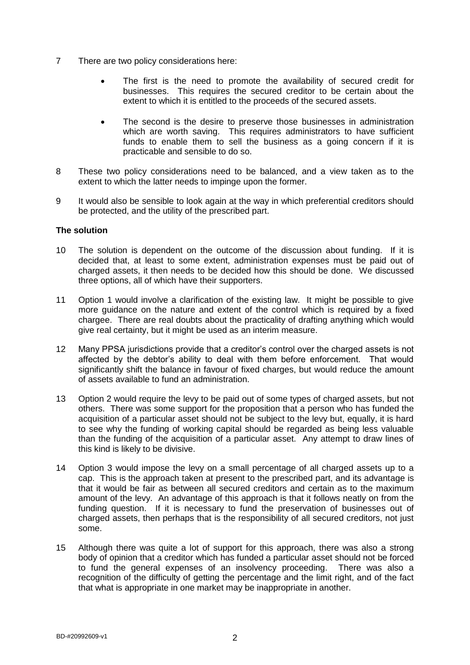- 7 There are two policy considerations here:
	- The first is the need to promote the availability of secured credit for businesses. This requires the secured creditor to be certain about the extent to which it is entitled to the proceeds of the secured assets.
	- The second is the desire to preserve those businesses in administration which are worth saving. This requires administrators to have sufficient funds to enable them to sell the business as a going concern if it is practicable and sensible to do so.
- 8 These two policy considerations need to be balanced, and a view taken as to the extent to which the latter needs to impinge upon the former.
- 9 It would also be sensible to look again at the way in which preferential creditors should be protected, and the utility of the prescribed part.

#### **The solution**

- 10 The solution is dependent on the outcome of the discussion about funding. If it is decided that, at least to some extent, administration expenses must be paid out of charged assets, it then needs to be decided how this should be done. We discussed three options, all of which have their supporters.
- 11 Option 1 would involve a clarification of the existing law. It might be possible to give more guidance on the nature and extent of the control which is required by a fixed chargee. There are real doubts about the practicality of drafting anything which would give real certainty, but it might be used as an interim measure.
- 12 Many PPSA jurisdictions provide that a creditor's control over the charged assets is not affected by the debtor's ability to deal with them before enforcement. That would significantly shift the balance in favour of fixed charges, but would reduce the amount of assets available to fund an administration.
- 13 Option 2 would require the levy to be paid out of some types of charged assets, but not others. There was some support for the proposition that a person who has funded the acquisition of a particular asset should not be subject to the levy but, equally, it is hard to see why the funding of working capital should be regarded as being less valuable than the funding of the acquisition of a particular asset. Any attempt to draw lines of this kind is likely to be divisive.
- 14 Option 3 would impose the levy on a small percentage of all charged assets up to a cap. This is the approach taken at present to the prescribed part, and its advantage is that it would be fair as between all secured creditors and certain as to the maximum amount of the levy. An advantage of this approach is that it follows neatly on from the funding question. If it is necessary to fund the preservation of businesses out of charged assets, then perhaps that is the responsibility of all secured creditors, not just some.
- 15 Although there was quite a lot of support for this approach, there was also a strong body of opinion that a creditor which has funded a particular asset should not be forced to fund the general expenses of an insolvency proceeding. There was also a recognition of the difficulty of getting the percentage and the limit right, and of the fact that what is appropriate in one market may be inappropriate in another.